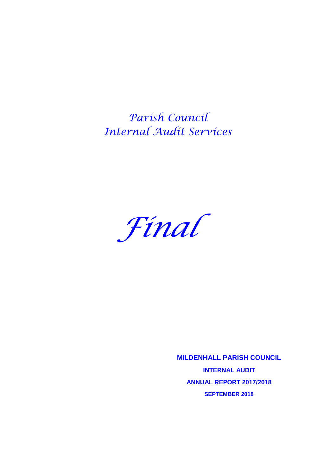*Parish Council Internal Audit Services*



**MILDENHALL PARISH COUNCIL INTERNAL AUDIT ANNUAL REPORT 2017/2018 SEPTEMBER 2018**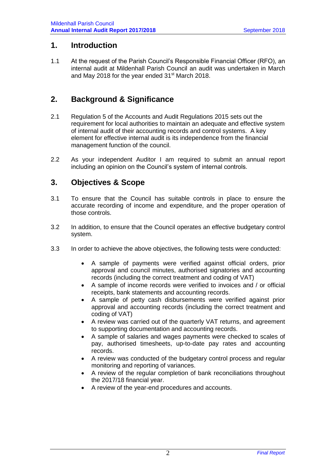#### **1. Introduction**

1.1 At the request of the Parish Council's Responsible Financial Officer (RFO), an internal audit at Mildenhall Parish Council an audit was undertaken in March and May 2018 for the year ended 31<sup>st</sup> March 2018.

# **2. Background & Significance**

- 2.1 Regulation 5 of the Accounts and Audit Regulations 2015 sets out the requirement for local authorities to maintain an adequate and effective system of internal audit of their accounting records and control systems. A key element for effective internal audit is its independence from the financial management function of the council.
- 2.2 As your independent Auditor I am required to submit an annual report including an opinion on the Council's system of internal controls.

### **3. Objectives & Scope**

- 3.1 To ensure that the Council has suitable controls in place to ensure the accurate recording of income and expenditure, and the proper operation of those controls.
- 3.2 In addition, to ensure that the Council operates an effective budgetary control system.
- 3.3 In order to achieve the above objectives, the following tests were conducted:
	- A sample of payments were verified against official orders, prior approval and council minutes, authorised signatories and accounting records (including the correct treatment and coding of VAT)
	- A sample of income records were verified to invoices and / or official receipts, bank statements and accounting records.
	- A sample of petty cash disbursements were verified against prior approval and accounting records (including the correct treatment and coding of VAT)
	- A review was carried out of the quarterly VAT returns, and agreement to supporting documentation and accounting records.
	- A sample of salaries and wages payments were checked to scales of pay, authorised timesheets, up-to-date pay rates and accounting records.
	- A review was conducted of the budgetary control process and regular monitoring and reporting of variances.
	- A review of the regular completion of bank reconciliations throughout the 2017/18 financial year.
	- A review of the year-end procedures and accounts.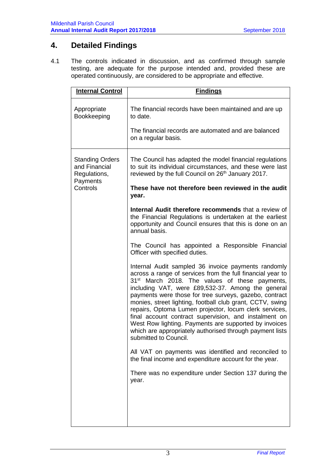# **4. Detailed Findings**

4.1 The controls indicated in discussion, and as confirmed through sample testing, are adequate for the purpose intended and, provided these are operated continuously, are considered to be appropriate and effective.

| <b>Internal Control</b>                                                         | <b>Findings</b>                                                                                                                                                                                                                                                                                                                                                                                                                                                                                                                                                                                                              |
|---------------------------------------------------------------------------------|------------------------------------------------------------------------------------------------------------------------------------------------------------------------------------------------------------------------------------------------------------------------------------------------------------------------------------------------------------------------------------------------------------------------------------------------------------------------------------------------------------------------------------------------------------------------------------------------------------------------------|
| Appropriate<br>Bookkeeping                                                      | The financial records have been maintained and are up<br>to date.<br>The financial records are automated and are balanced<br>on a regular basis.                                                                                                                                                                                                                                                                                                                                                                                                                                                                             |
| <b>Standing Orders</b><br>and Financial<br>Regulations,<br>Payments<br>Controls | The Council has adapted the model financial regulations<br>to suit its individual circumstances, and these were last<br>reviewed by the full Council on 26 <sup>th</sup> January 2017.<br>These have not therefore been reviewed in the audit<br>year.                                                                                                                                                                                                                                                                                                                                                                       |
|                                                                                 | Internal Audit therefore recommends that a review of<br>the Financial Regulations is undertaken at the earliest<br>opportunity and Council ensures that this is done on an<br>annual basis.                                                                                                                                                                                                                                                                                                                                                                                                                                  |
|                                                                                 | The Council has appointed a Responsible Financial<br>Officer with specified duties.                                                                                                                                                                                                                                                                                                                                                                                                                                                                                                                                          |
|                                                                                 | Internal Audit sampled 36 invoice payments randomly<br>across a range of services from the full financial year to<br>31 <sup>st</sup> March 2018. The values of these payments,<br>including VAT, were £89,532-37. Among the general<br>payments were those for tree surveys, gazebo, contract<br>monies, street lighting, football club grant, CCTV, swing<br>repairs, Optoma Lumen projector, locum clerk services,<br>final account contract supervision, and instalment on<br>West Row lighting. Payments are supported by invoices<br>which are appropriately authorised through payment lists<br>submitted to Council. |
|                                                                                 | All VAT on payments was identified and reconciled to<br>the final income and expenditure account for the year.                                                                                                                                                                                                                                                                                                                                                                                                                                                                                                               |
|                                                                                 | There was no expenditure under Section 137 during the<br>year.                                                                                                                                                                                                                                                                                                                                                                                                                                                                                                                                                               |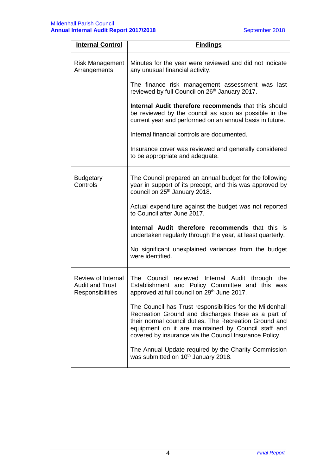| <b>Internal Control</b>                                          | <b>Findings</b>                                                                                                                                                                                                                                                                             |
|------------------------------------------------------------------|---------------------------------------------------------------------------------------------------------------------------------------------------------------------------------------------------------------------------------------------------------------------------------------------|
| <b>Risk Management</b><br>Arrangements                           | Minutes for the year were reviewed and did not indicate<br>any unusual financial activity.                                                                                                                                                                                                  |
|                                                                  | The finance risk management assessment was last<br>reviewed by full Council on 26 <sup>th</sup> January 2017.                                                                                                                                                                               |
|                                                                  | Internal Audit therefore recommends that this should<br>be reviewed by the council as soon as possible in the<br>current year and performed on an annual basis in future.                                                                                                                   |
|                                                                  | Internal financial controls are documented.                                                                                                                                                                                                                                                 |
|                                                                  | Insurance cover was reviewed and generally considered<br>to be appropriate and adequate.                                                                                                                                                                                                    |
| <b>Budgetary</b><br>Controls                                     | The Council prepared an annual budget for the following<br>year in support of its precept, and this was approved by<br>council on 25 <sup>th</sup> January 2018.                                                                                                                            |
|                                                                  | Actual expenditure against the budget was not reported<br>to Council after June 2017.                                                                                                                                                                                                       |
|                                                                  | Internal Audit therefore recommends that this is<br>undertaken regularly through the year, at least quarterly.                                                                                                                                                                              |
|                                                                  | No significant unexplained variances from the budget<br>were identified.                                                                                                                                                                                                                    |
| Review of Internal<br><b>Audit and Trust</b><br>Responsibilities | The Council reviewed Internal Audit through the<br>Establishment and Policy Committee and this was<br>approved at full council on 29th June 2017.                                                                                                                                           |
|                                                                  | The Council has Trust responsibilities for the Mildenhall<br>Recreation Ground and discharges these as a part of<br>their normal council duties. The Recreation Ground and<br>equipment on it are maintained by Council staff and<br>covered by insurance via the Council Insurance Policy. |
|                                                                  | The Annual Update required by the Charity Commission<br>was submitted on 10 <sup>th</sup> January 2018.                                                                                                                                                                                     |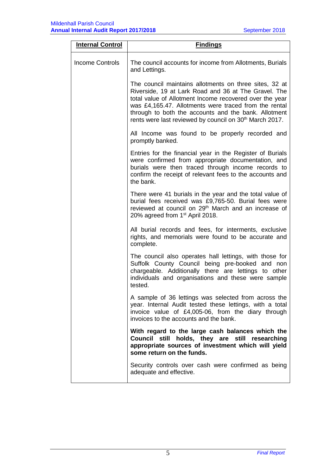| <b>Internal Control</b> | <b>Findings</b>                                                                                                                                                                                                                                                                                                                                                   |
|-------------------------|-------------------------------------------------------------------------------------------------------------------------------------------------------------------------------------------------------------------------------------------------------------------------------------------------------------------------------------------------------------------|
| <b>Income Controls</b>  | The council accounts for income from Allotments, Burials<br>and Lettings.                                                                                                                                                                                                                                                                                         |
|                         | The council maintains allotments on three sites, 32 at<br>Riverside, 19 at Lark Road and 36 at The Gravel. The<br>total value of Allotment Income recovered over the year<br>was £4,165.47. Allotments were traced from the rental<br>through to both the accounts and the bank. Allotment<br>rents were last reviewed by council on 30 <sup>th</sup> March 2017. |
|                         | All Income was found to be properly recorded and<br>promptly banked.                                                                                                                                                                                                                                                                                              |
|                         | Entries for the financial year in the Register of Burials<br>were confirmed from appropriate documentation, and<br>burials were then traced through income records to<br>confirm the receipt of relevant fees to the accounts and<br>the bank.                                                                                                                    |
|                         | There were 41 burials in the year and the total value of<br>burial fees received was £9,765-50. Burial fees were<br>reviewed at council on 29 <sup>th</sup> March and an increase of<br>20% agreed from 1 <sup>st</sup> April 2018.                                                                                                                               |
|                         | All burial records and fees, for interments, exclusive<br>rights, and memorials were found to be accurate and<br>complete.                                                                                                                                                                                                                                        |
|                         | The council also operates hall lettings, with those for<br>Suffolk County Council being pre-booked and non<br>chargeable. Additionally there are lettings to other<br>individuals and organisations and these were sample<br>tested.                                                                                                                              |
|                         | A sample of 36 lettings was selected from across the<br>year. Internal Audit tested these lettings, with a total<br>invoice value of £4,005-06, from the diary through<br>invoices to the accounts and the bank.                                                                                                                                                  |
|                         | With regard to the large cash balances which the<br>Council still holds, they are still researching<br>appropriate sources of investment which will yield<br>some return on the funds.                                                                                                                                                                            |
|                         | Security controls over cash were confirmed as being<br>adequate and effective.                                                                                                                                                                                                                                                                                    |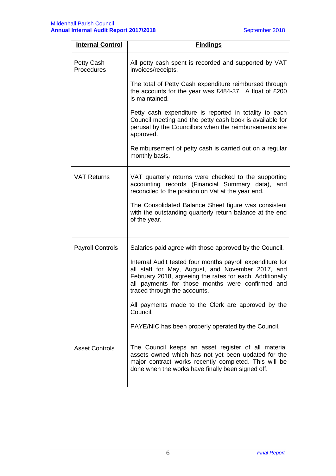| <b>Internal Control</b>  | <b>Findings</b>                                                                                                                                                                                                                                                |
|--------------------------|----------------------------------------------------------------------------------------------------------------------------------------------------------------------------------------------------------------------------------------------------------------|
| Petty Cash<br>Procedures | All petty cash spent is recorded and supported by VAT<br>invoices/receipts.                                                                                                                                                                                    |
|                          | The total of Petty Cash expenditure reimbursed through<br>the accounts for the year was £484-37. A float of £200<br>is maintained.                                                                                                                             |
|                          | Petty cash expenditure is reported in totality to each<br>Council meeting and the petty cash book is available for<br>perusal by the Councillors when the reimbursements are<br>approved.                                                                      |
|                          | Reimbursement of petty cash is carried out on a regular<br>monthly basis.                                                                                                                                                                                      |
| <b>VAT Returns</b>       | VAT quarterly returns were checked to the supporting<br>accounting records (Financial Summary data),<br>and<br>reconciled to the position on Vat at the year end.                                                                                              |
|                          | The Consolidated Balance Sheet figure was consistent<br>with the outstanding quarterly return balance at the end<br>of the year.                                                                                                                               |
| <b>Payroll Controls</b>  | Salaries paid agree with those approved by the Council.                                                                                                                                                                                                        |
|                          | Internal Audit tested four months payroll expenditure for<br>all staff for May, August, and November 2017, and<br>February 2018, agreeing the rates for each. Additionally<br>all payments for those months were confirmed and<br>traced through the accounts. |
|                          | All payments made to the Clerk are approved by the<br>Council.                                                                                                                                                                                                 |
|                          | PAYE/NIC has been properly operated by the Council.                                                                                                                                                                                                            |
| <b>Asset Controls</b>    | The Council keeps an asset register of all material<br>assets owned which has not yet been updated for the<br>major contract works recently completed. This will be<br>done when the works have finally been signed off.                                       |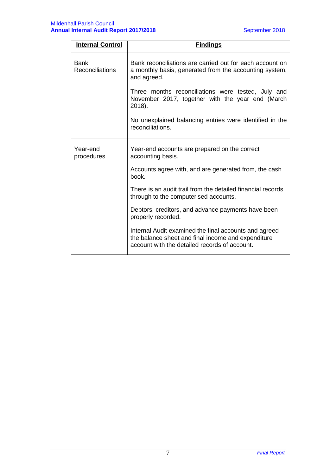| <b>Internal Control</b> | <b>Findings</b>                                                                                                                                              |
|-------------------------|--------------------------------------------------------------------------------------------------------------------------------------------------------------|
| Bank<br>Reconciliations | Bank reconciliations are carried out for each account on<br>a monthly basis, generated from the accounting system,<br>and agreed.                            |
|                         | Three months reconciliations were tested, July and<br>November 2017, together with the year end (March<br>2018).                                             |
|                         | No unexplained balancing entries were identified in the<br>reconciliations.                                                                                  |
| Year-end<br>procedures  | Year-end accounts are prepared on the correct<br>accounting basis.                                                                                           |
|                         | Accounts agree with, and are generated from, the cash<br>book.                                                                                               |
|                         | There is an audit trail from the detailed financial records<br>through to the computerised accounts.                                                         |
|                         | Debtors, creditors, and advance payments have been<br>properly recorded.                                                                                     |
|                         | Internal Audit examined the final accounts and agreed<br>the balance sheet and final income and expenditure<br>account with the detailed records of account. |